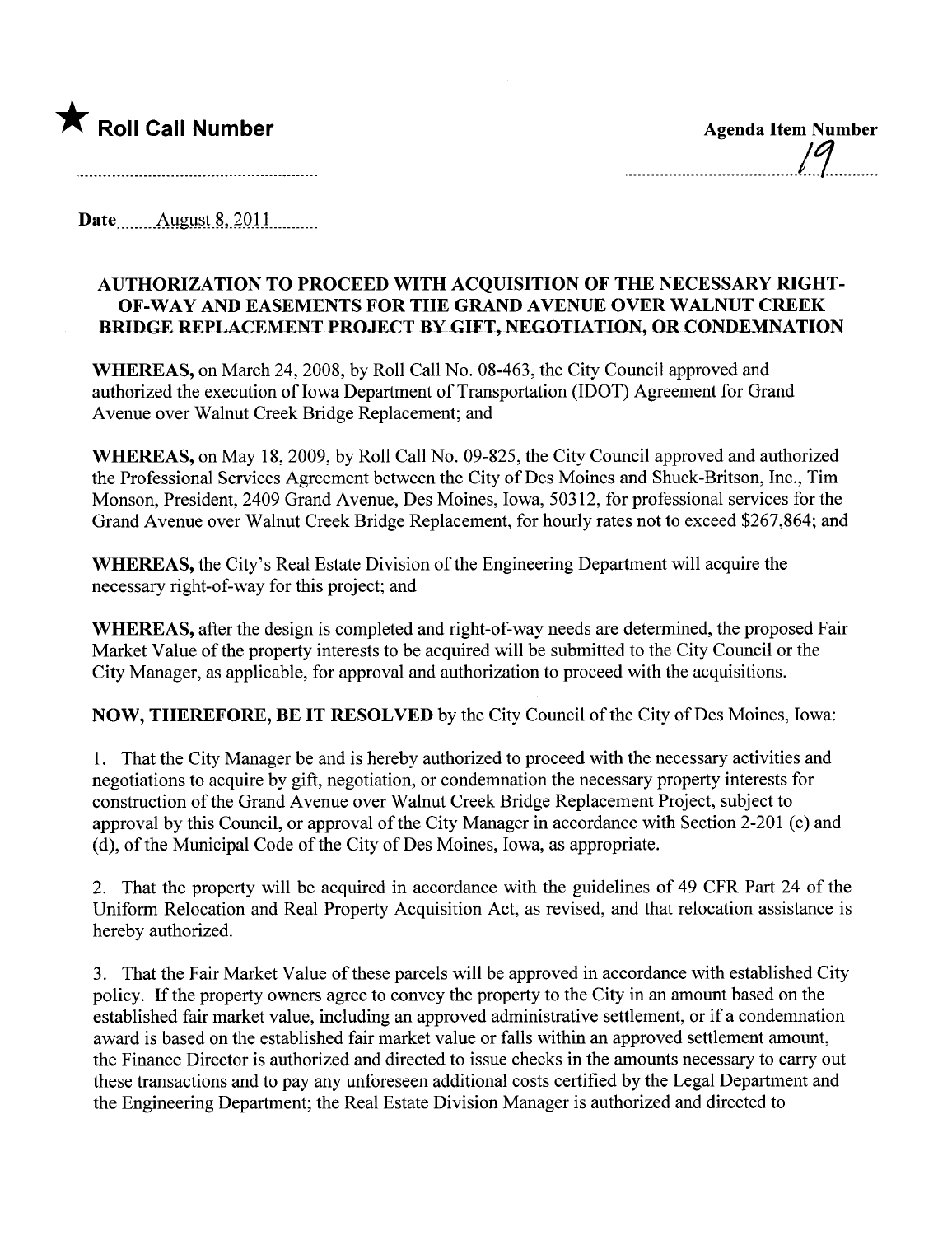

.......................................1.1...........

Date........ .Allgll~t-S,)QU. mum..

## AUTHORIZATION TO PROCEED WITH ACQUISITION OF THE NECESSARY RIGHT-OF-WAY AND EASEMENTS FOR THE GRAND AVENUE OVER WALNUT CREEK BRIDGE REPLACEMENT PROJECT BY GIFT, NEGOTIATION, OR CONDEMNATION

WHEREAS, on March 24, 2008, by Roll Call No. 08-463, the City Council approved and authorized the execution of Iowa Department of Transportation (IDOT) Agreement for Grand Avenue over Walnut Creek Bridge Replacement; and

WHEREAS, on May 18, 2009, by Roll Call No. 09-825, the City Council approved and authorized the Professional Services Agreement between the City of Des Moines and Shuck-Britson, Inc., Tim Monson, President, 2409 Grand Avenue, Des Moines, Iowa, 50312, for professional services for the Grand Avenue over Walnut Creek Bridge Replacement, for hourly rates not to exceed \$267,864; and

WHEREAS, the City's Real Estate Division of the Engineering Department will acquire the necessary right-of-way for this project; and

WHEREAS, after the design is completed and right-of-way needs are determined, the proposed Fair Market Value of the property interests to be acquired will be submitted to the City Council or the City Manager, as applicable, for approval and authorization to proceed with the acquisitions.

NOW, THEREFORE, BE IT RESOLVED by the City Council of the City of Des Moines, Iowa:

1. That the City Manager be and is hereby authorized to proceed with the necessary activities and negotiations to acquire by gift, negotiation, or condemnation the necessary property interests for construction of the Grand Avenue over Walnut Creek Bridge Replacement Project, subject to approval by this Council, or approval of the City Manager in accordance with Section 2-201 (c) and (d), of the Municipal Code of the City of Des Moines, Iowa, as appropriate.

2. That the property will be acquired in accordance with the guidelines of 49 CFR Part 24 of the Uniform Relocation and Real Property Acquisition Act, as revised, and that relocation assistance is hereby authorized.

3. That the Fair Market Value of these parcels wil be approved in accordance with established City policy. If the property owners agree to convey the property to the City in an amount based on the established fair market value, including an approved administrative settlement, or if a condemnation award is based on the established fair market value or falls within an approved settlement amount, the Finance Director is authorized and directed to issue checks in the amounts necessary to carry out these transactions and to pay any unforeseen additional costs certified by the Legal Department and the Engineering Department; the Real Estate Division Manager is authorized and directed to